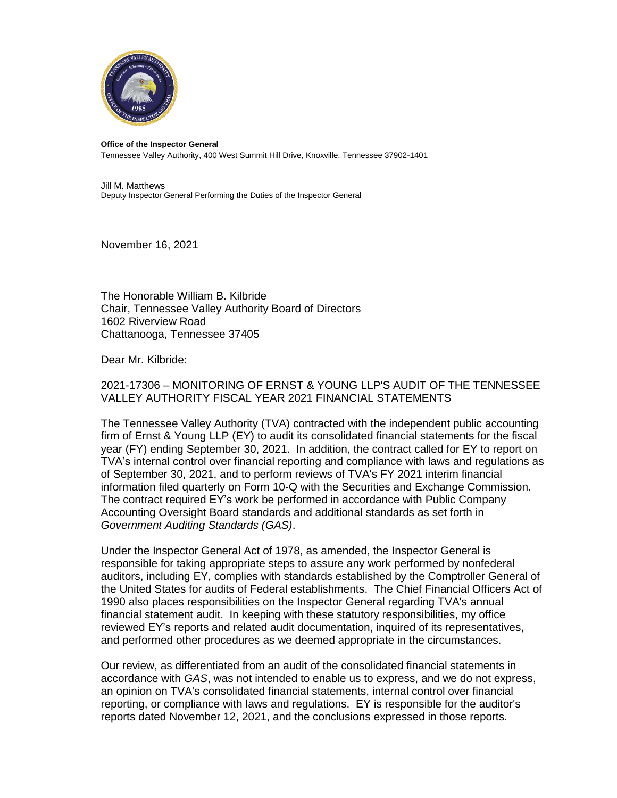

## **Office of the Inspector General**

Tennessee Valley Authority, 400 West Summit Hill Drive, Knoxville, Tennessee 37902-1401

Jill M. Matthews Deputy Inspector General Performing the Duties of the Inspector General

November 16, 2021

The Honorable William B. Kilbride Chair, Tennessee Valley Authority Board of Directors 1602 Riverview Road Chattanooga, Tennessee 37405

Dear Mr. Kilbride:

2021-17306 – MONITORING OF ERNST & YOUNG LLP'S AUDIT OF THE TENNESSEE VALLEY AUTHORITY FISCAL YEAR 2021 FINANCIAL STATEMENTS

The Tennessee Valley Authority (TVA) contracted with the independent public accounting firm of Ernst & Young LLP (EY) to audit its consolidated financial statements for the fiscal year (FY) ending September 30, 2021. In addition, the contract called for EY to report on TVA's internal control over financial reporting and compliance with laws and regulations as of September 30, 2021, and to perform reviews of TVA's FY 2021 interim financial information filed quarterly on Form 10-Q with the Securities and Exchange Commission. The contract required EY's work be performed in accordance with Public Company Accounting Oversight Board standards and additional standards as set forth in *Government Auditing Standards (GAS)*.

Under the Inspector General Act of 1978, as amended, the Inspector General is responsible for taking appropriate steps to assure any work performed by nonfederal auditors, including EY, complies with standards established by the Comptroller General of the United States for audits of Federal establishments. The Chief Financial Officers Act of 1990 also places responsibilities on the Inspector General regarding TVA's annual financial statement audit. In keeping with these statutory responsibilities, my office reviewed EY's reports and related audit documentation, inquired of its representatives, and performed other procedures as we deemed appropriate in the circumstances.

Our review, as differentiated from an audit of the consolidated financial statements in accordance with *GAS*, was not intended to enable us to express, and we do not express, an opinion on TVA's consolidated financial statements, internal control over financial reporting, or compliance with laws and regulations. EY is responsible for the auditor's reports dated November 12, 2021, and the conclusions expressed in those reports.